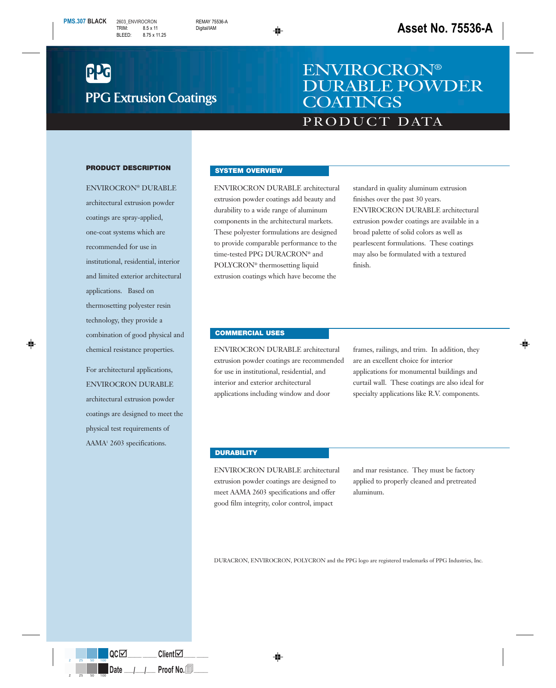# **PPG Extrusion Coatings**

## PRODUCT DATA ENVIROCRON® DURABLE POWDER **COATINGS**

#### **PRODUCT DESCRIPTION**

ENVIROCRON® DURABLE architectural extrusion powder coatings are spray-applied, one-coat systems which are recommended for use in institutional, residential, interior and limited exterior architectural applications. Based on thermosetting polyester resin technology, they provide a combination of good physical and chemical resistance properties.

For architectural applications, ENVIROCRON DURABLE architectural extrusion powder coatings are designed to meet the physical test requirements of AAMA<sup>1</sup> 2603 specifications.

#### **SYSTEM OVERVIEW**

ENVIROCRON DURABLE architectural extrusion powder coatings add beauty and durability to a wide range of aluminum components in the architectural markets. These polyester formulations are designed to provide comparable performance to the time-tested PPG DURACRON® and POLYCRON® thermosetting liquid extrusion coatings which have become the

standard in quality aluminum extrusion finishes over the past 30 years. ENVIROCRON DURABLE architectural extrusion powder coatings are available in a broad palette of solid colors as well as pearlescent formulations. These coatings may also be formulated with a textured finish.

#### **COMMERCIAL USES**

ENVIROCRON DURABLE architectural extrusion powder coatings are recommended for use in institutional, residential, and interior and exterior architectural applications including window and door

frames, railings, and trim. In addition, they are an excellent choice for interior applications for monumental buildings and curtail wall. These coatings are also ideal for specialty applications like R.V. components.

#### **DURABILITY**

ENVIROCRON DURABLE architectural extrusion powder coatings are designed to meet AAMA 2603 specifications and offer good film integrity, color control, impact

and mar resistance. They must be factory applied to properly cleaned and pretreated aluminum.

DURACRON, ENVIROCRON, POLYCRON and the PPG logo are registered trademarks of PPG Industries, Inc.